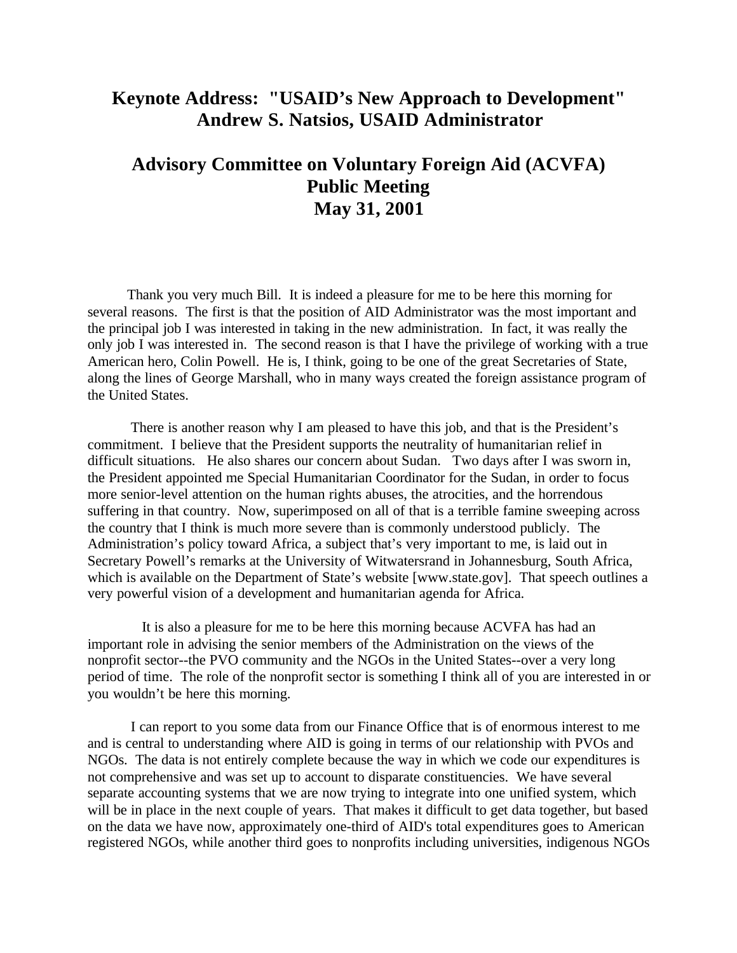## **Keynote Address: "USAID's New Approach to Development" Andrew S. Natsios, USAID Administrator**

## **Advisory Committee on Voluntary Foreign Aid (ACVFA) Public Meeting May 31, 2001**

 Thank you very much Bill. It is indeed a pleasure for me to be here this morning for several reasons. The first is that the position of AID Administrator was the most important and the principal job I was interested in taking in the new administration. In fact, it was really the only job I was interested in. The second reason is that I have the privilege of working with a true American hero, Colin Powell. He is, I think, going to be one of the great Secretaries of State, along the lines of George Marshall, who in many ways created the foreign assistance program of the United States.

There is another reason why I am pleased to have this job, and that is the President's commitment. I believe that the President supports the neutrality of humanitarian relief in difficult situations. He also shares our concern about Sudan. Two days after I was sworn in, the President appointed me Special Humanitarian Coordinator for the Sudan, in order to focus more senior-level attention on the human rights abuses, the atrocities, and the horrendous suffering in that country. Now, superimposed on all of that is a terrible famine sweeping across the country that I think is much more severe than is commonly understood publicly. The Administration's policy toward Africa, a subject that's very important to me, is laid out in Secretary Powell's remarks at the University of Witwatersrand in Johannesburg, South Africa, which is available on the Department of State's website [www.state.gov]. That speech outlines a very powerful vision of a development and humanitarian agenda for Africa.

 It is also a pleasure for me to be here this morning because ACVFA has had an important role in advising the senior members of the Administration on the views of the nonprofit sector--the PVO community and the NGOs in the United States--over a very long period of time. The role of the nonprofit sector is something I think all of you are interested in or you wouldn't be here this morning.

I can report to you some data from our Finance Office that is of enormous interest to me and is central to understanding where AID is going in terms of our relationship with PVOs and NGOs. The data is not entirely complete because the way in which we code our expenditures is not comprehensive and was set up to account to disparate constituencies. We have several separate accounting systems that we are now trying to integrate into one unified system, which will be in place in the next couple of years. That makes it difficult to get data together, but based on the data we have now, approximately one-third of AID's total expenditures goes to American registered NGOs, while another third goes to nonprofits including universities, indigenous NGOs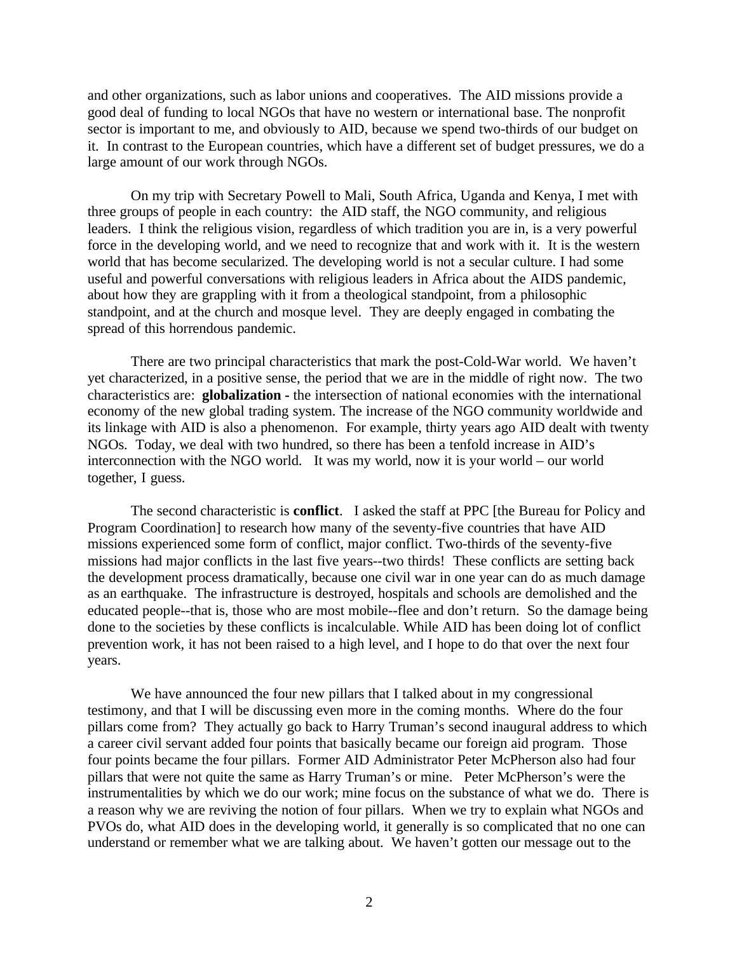and other organizations, such as labor unions and cooperatives. The AID missions provide a good deal of funding to local NGOs that have no western or international base. The nonprofit sector is important to me, and obviously to AID, because we spend two-thirds of our budget on it. In contrast to the European countries, which have a different set of budget pressures, we do a large amount of our work through NGOs.

On my trip with Secretary Powell to Mali, South Africa, Uganda and Kenya, I met with three groups of people in each country: the AID staff, the NGO community, and religious leaders. I think the religious vision, regardless of which tradition you are in, is a very powerful force in the developing world, and we need to recognize that and work with it. It is the western world that has become secularized. The developing world is not a secular culture. I had some useful and powerful conversations with religious leaders in Africa about the AIDS pandemic, about how they are grappling with it from a theological standpoint, from a philosophic standpoint, and at the church and mosque level. They are deeply engaged in combating the spread of this horrendous pandemic.

There are two principal characteristics that mark the post-Cold-War world. We haven't yet characterized, in a positive sense, the period that we are in the middle of right now. The two characteristics are: **globalization -** the intersection of national economies with the international economy of the new global trading system. The increase of the NGO community worldwide and its linkage with AID is also a phenomenon. For example, thirty years ago AID dealt with twenty NGOs. Today, we deal with two hundred, so there has been a tenfold increase in AID's interconnection with the NGO world. It was my world, now it is your world – our world together, I guess.

The second characteristic is **conflict**. I asked the staff at PPC [the Bureau for Policy and Program Coordination] to research how many of the seventy-five countries that have AID missions experienced some form of conflict, major conflict. Two-thirds of the seventy-five missions had major conflicts in the last five years--two thirds! These conflicts are setting back the development process dramatically, because one civil war in one year can do as much damage as an earthquake. The infrastructure is destroyed, hospitals and schools are demolished and the educated people--that is, those who are most mobile--flee and don't return. So the damage being done to the societies by these conflicts is incalculable. While AID has been doing lot of conflict prevention work, it has not been raised to a high level, and I hope to do that over the next four years.

We have announced the four new pillars that I talked about in my congressional testimony, and that I will be discussing even more in the coming months. Where do the four pillars come from? They actually go back to Harry Truman's second inaugural address to which a career civil servant added four points that basically became our foreign aid program. Those four points became the four pillars. Former AID Administrator Peter McPherson also had four pillars that were not quite the same as Harry Truman's or mine. Peter McPherson's were the instrumentalities by which we do our work; mine focus on the substance of what we do. There is a reason why we are reviving the notion of four pillars. When we try to explain what NGOs and PVOs do, what AID does in the developing world, it generally is so complicated that no one can understand or remember what we are talking about. We haven't gotten our message out to the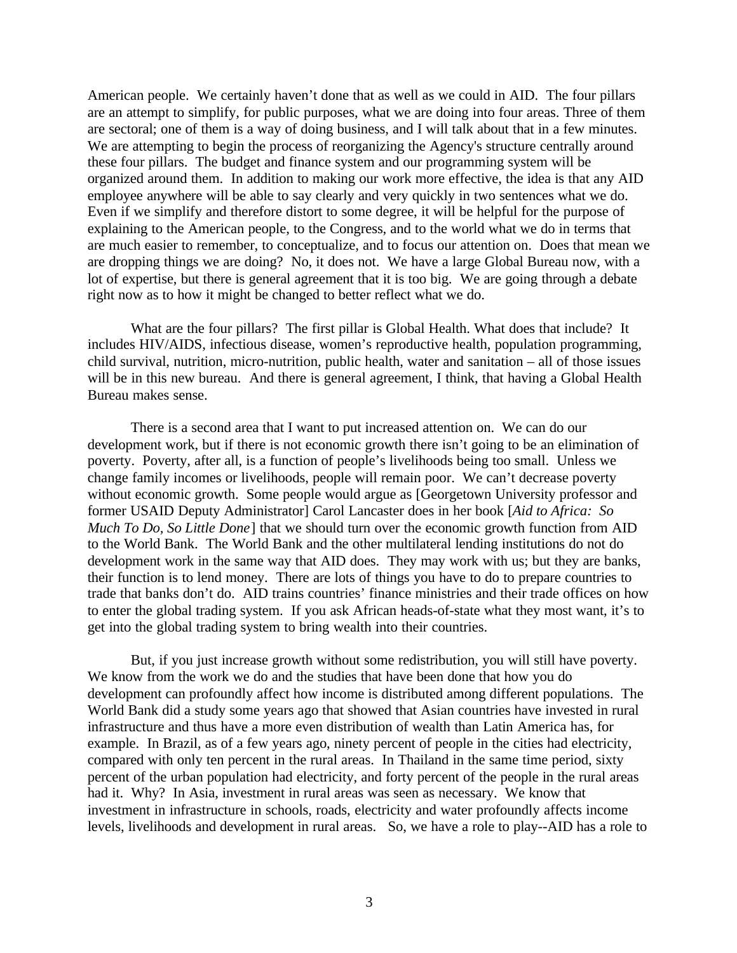American people. We certainly haven't done that as well as we could in AID. The four pillars are an attempt to simplify, for public purposes, what we are doing into four areas. Three of them are sectoral; one of them is a way of doing business, and I will talk about that in a few minutes. We are attempting to begin the process of reorganizing the Agency's structure centrally around these four pillars. The budget and finance system and our programming system will be organized around them. In addition to making our work more effective, the idea is that any AID employee anywhere will be able to say clearly and very quickly in two sentences what we do. Even if we simplify and therefore distort to some degree, it will be helpful for the purpose of explaining to the American people, to the Congress, and to the world what we do in terms that are much easier to remember, to conceptualize, and to focus our attention on. Does that mean we are dropping things we are doing? No, it does not. We have a large Global Bureau now, with a lot of expertise, but there is general agreement that it is too big. We are going through a debate right now as to how it might be changed to better reflect what we do.

What are the four pillars? The first pillar is Global Health. What does that include? It includes HIV/AIDS, infectious disease, women's reproductive health, population programming, child survival, nutrition, micro-nutrition, public health, water and sanitation – all of those issues will be in this new bureau. And there is general agreement, I think, that having a Global Health Bureau makes sense.

There is a second area that I want to put increased attention on. We can do our development work, but if there is not economic growth there isn't going to be an elimination of poverty. Poverty, after all, is a function of people's livelihoods being too small. Unless we change family incomes or livelihoods, people will remain poor. We can't decrease poverty without economic growth. Some people would argue as [Georgetown University professor and former USAID Deputy Administrator] Carol Lancaster does in her book [*Aid to Africa: So Much To Do, So Little Done*] that we should turn over the economic growth function from AID to the World Bank. The World Bank and the other multilateral lending institutions do not do development work in the same way that AID does. They may work with us; but they are banks, their function is to lend money. There are lots of things you have to do to prepare countries to trade that banks don't do. AID trains countries' finance ministries and their trade offices on how to enter the global trading system. If you ask African heads-of-state what they most want, it's to get into the global trading system to bring wealth into their countries.

But, if you just increase growth without some redistribution, you will still have poverty. We know from the work we do and the studies that have been done that how you do development can profoundly affect how income is distributed among different populations. The World Bank did a study some years ago that showed that Asian countries have invested in rural infrastructure and thus have a more even distribution of wealth than Latin America has, for example. In Brazil, as of a few years ago, ninety percent of people in the cities had electricity, compared with only ten percent in the rural areas. In Thailand in the same time period, sixty percent of the urban population had electricity, and forty percent of the people in the rural areas had it. Why? In Asia, investment in rural areas was seen as necessary. We know that investment in infrastructure in schools, roads, electricity and water profoundly affects income levels, livelihoods and development in rural areas. So, we have a role to play--AID has a role to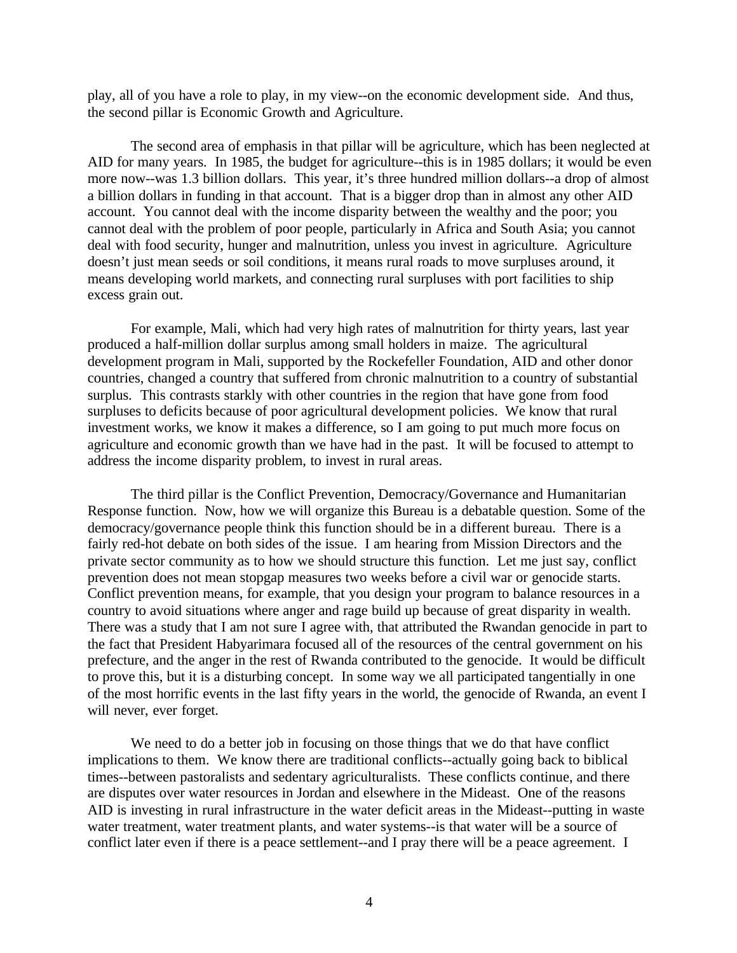play, all of you have a role to play, in my view--on the economic development side. And thus, the second pillar is Economic Growth and Agriculture.

The second area of emphasis in that pillar will be agriculture, which has been neglected at AID for many years. In 1985, the budget for agriculture--this is in 1985 dollars; it would be even more now--was 1.3 billion dollars. This year, it's three hundred million dollars--a drop of almost a billion dollars in funding in that account. That is a bigger drop than in almost any other AID account. You cannot deal with the income disparity between the wealthy and the poor; you cannot deal with the problem of poor people, particularly in Africa and South Asia; you cannot deal with food security, hunger and malnutrition, unless you invest in agriculture. Agriculture doesn't just mean seeds or soil conditions, it means rural roads to move surpluses around, it means developing world markets, and connecting rural surpluses with port facilities to ship excess grain out.

For example, Mali, which had very high rates of malnutrition for thirty years, last year produced a half-million dollar surplus among small holders in maize. The agricultural development program in Mali, supported by the Rockefeller Foundation, AID and other donor countries, changed a country that suffered from chronic malnutrition to a country of substantial surplus. This contrasts starkly with other countries in the region that have gone from food surpluses to deficits because of poor agricultural development policies. We know that rural investment works, we know it makes a difference, so I am going to put much more focus on agriculture and economic growth than we have had in the past. It will be focused to attempt to address the income disparity problem, to invest in rural areas.

The third pillar is the Conflict Prevention, Democracy/Governance and Humanitarian Response function. Now, how we will organize this Bureau is a debatable question. Some of the democracy/governance people think this function should be in a different bureau. There is a fairly red-hot debate on both sides of the issue. I am hearing from Mission Directors and the private sector community as to how we should structure this function. Let me just say, conflict prevention does not mean stopgap measures two weeks before a civil war or genocide starts. Conflict prevention means, for example, that you design your program to balance resources in a country to avoid situations where anger and rage build up because of great disparity in wealth. There was a study that I am not sure I agree with, that attributed the Rwandan genocide in part to the fact that President Habyarimara focused all of the resources of the central government on his prefecture, and the anger in the rest of Rwanda contributed to the genocide. It would be difficult to prove this, but it is a disturbing concept. In some way we all participated tangentially in one of the most horrific events in the last fifty years in the world, the genocide of Rwanda, an event I will never, ever forget.

We need to do a better job in focusing on those things that we do that have conflict implications to them. We know there are traditional conflicts--actually going back to biblical times--between pastoralists and sedentary agriculturalists. These conflicts continue, and there are disputes over water resources in Jordan and elsewhere in the Mideast. One of the reasons AID is investing in rural infrastructure in the water deficit areas in the Mideast--putting in waste water treatment, water treatment plants, and water systems--is that water will be a source of conflict later even if there is a peace settlement--and I pray there will be a peace agreement. I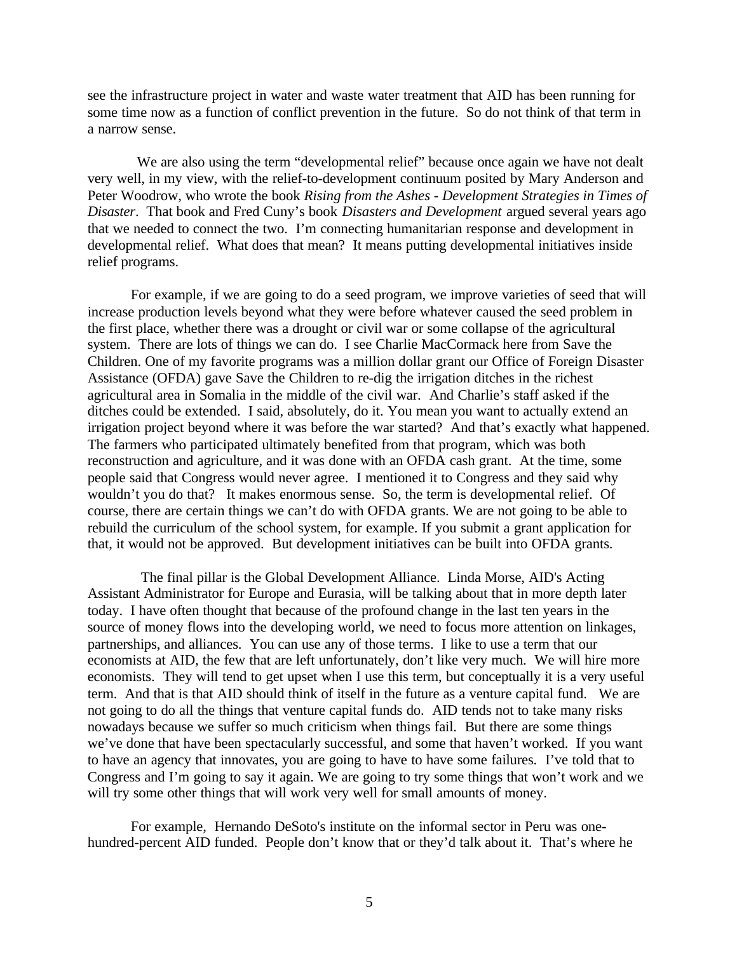see the infrastructure project in water and waste water treatment that AID has been running for some time now as a function of conflict prevention in the future. So do not think of that term in a narrow sense.

We are also using the term "developmental relief" because once again we have not dealt very well, in my view, with the relief-to-development continuum posited by Mary Anderson and Peter Woodrow, who wrote the book *Rising from the Ashes - Development Strategies in Times of Disaster*. That book and Fred Cuny's book *Disasters and Development* argued several years ago that we needed to connect the two. I'm connecting humanitarian response and development in developmental relief. What does that mean? It means putting developmental initiatives inside relief programs.

For example, if we are going to do a seed program, we improve varieties of seed that will increase production levels beyond what they were before whatever caused the seed problem in the first place, whether there was a drought or civil war or some collapse of the agricultural system. There are lots of things we can do. I see Charlie MacCormack here from Save the Children. One of my favorite programs was a million dollar grant our Office of Foreign Disaster Assistance (OFDA) gave Save the Children to re-dig the irrigation ditches in the richest agricultural area in Somalia in the middle of the civil war. And Charlie's staff asked if the ditches could be extended. I said, absolutely, do it. You mean you want to actually extend an irrigation project beyond where it was before the war started? And that's exactly what happened. The farmers who participated ultimately benefited from that program, which was both reconstruction and agriculture, and it was done with an OFDA cash grant. At the time, some people said that Congress would never agree. I mentioned it to Congress and they said why wouldn't you do that? It makes enormous sense. So, the term is developmental relief. Of course, there are certain things we can't do with OFDA grants. We are not going to be able to rebuild the curriculum of the school system, for example. If you submit a grant application for that, it would not be approved. But development initiatives can be built into OFDA grants.

 The final pillar is the Global Development Alliance. Linda Morse, AID's Acting Assistant Administrator for Europe and Eurasia, will be talking about that in more depth later today. I have often thought that because of the profound change in the last ten years in the source of money flows into the developing world, we need to focus more attention on linkages, partnerships, and alliances. You can use any of those terms. I like to use a term that our economists at AID, the few that are left unfortunately, don't like very much. We will hire more economists. They will tend to get upset when I use this term, but conceptually it is a very useful term. And that is that AID should think of itself in the future as a venture capital fund. We are not going to do all the things that venture capital funds do. AID tends not to take many risks nowadays because we suffer so much criticism when things fail. But there are some things we've done that have been spectacularly successful, and some that haven't worked. If you want to have an agency that innovates, you are going to have to have some failures. I've told that to Congress and I'm going to say it again. We are going to try some things that won't work and we will try some other things that will work very well for small amounts of money.

For example, Hernando DeSoto's institute on the informal sector in Peru was onehundred-percent AID funded. People don't know that or they'd talk about it. That's where he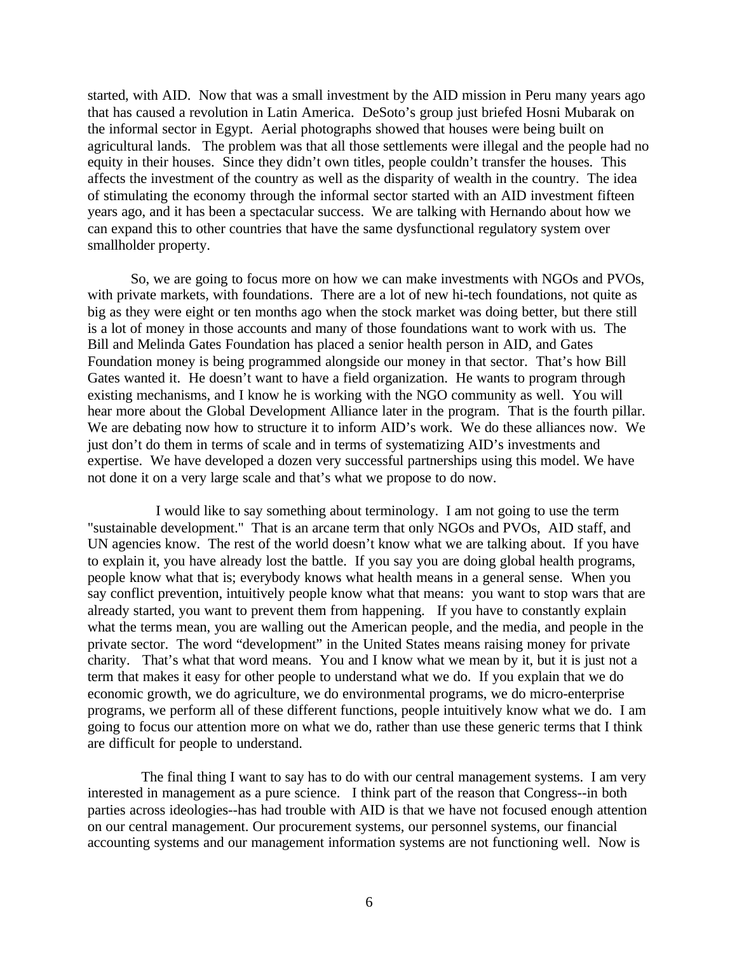started, with AID. Now that was a small investment by the AID mission in Peru many years ago that has caused a revolution in Latin America. DeSoto's group just briefed Hosni Mubarak on the informal sector in Egypt. Aerial photographs showed that houses were being built on agricultural lands. The problem was that all those settlements were illegal and the people had no equity in their houses. Since they didn't own titles, people couldn't transfer the houses. This affects the investment of the country as well as the disparity of wealth in the country. The idea of stimulating the economy through the informal sector started with an AID investment fifteen years ago, and it has been a spectacular success. We are talking with Hernando about how we can expand this to other countries that have the same dysfunctional regulatory system over smallholder property.

So, we are going to focus more on how we can make investments with NGOs and PVOs, with private markets, with foundations. There are a lot of new hi-tech foundations, not quite as big as they were eight or ten months ago when the stock market was doing better, but there still is a lot of money in those accounts and many of those foundations want to work with us. The Bill and Melinda Gates Foundation has placed a senior health person in AID, and Gates Foundation money is being programmed alongside our money in that sector. That's how Bill Gates wanted it. He doesn't want to have a field organization. He wants to program through existing mechanisms, and I know he is working with the NGO community as well. You will hear more about the Global Development Alliance later in the program. That is the fourth pillar. We are debating now how to structure it to inform AID's work. We do these alliances now. We just don't do them in terms of scale and in terms of systematizing AID's investments and expertise. We have developed a dozen very successful partnerships using this model. We have not done it on a very large scale and that's what we propose to do now.

 I would like to say something about terminology. I am not going to use the term "sustainable development." That is an arcane term that only NGOs and PVOs, AID staff, and UN agencies know. The rest of the world doesn't know what we are talking about. If you have to explain it, you have already lost the battle. If you say you are doing global health programs, people know what that is; everybody knows what health means in a general sense. When you say conflict prevention, intuitively people know what that means: you want to stop wars that are already started, you want to prevent them from happening. If you have to constantly explain what the terms mean, you are walling out the American people, and the media, and people in the private sector. The word "development" in the United States means raising money for private charity. That's what that word means. You and I know what we mean by it, but it is just not a term that makes it easy for other people to understand what we do. If you explain that we do economic growth, we do agriculture, we do environmental programs, we do micro-enterprise programs, we perform all of these different functions, people intuitively know what we do. I am going to focus our attention more on what we do, rather than use these generic terms that I think are difficult for people to understand.

 The final thing I want to say has to do with our central management systems. I am very interested in management as a pure science. I think part of the reason that Congress--in both parties across ideologies--has had trouble with AID is that we have not focused enough attention on our central management. Our procurement systems, our personnel systems, our financial accounting systems and our management information systems are not functioning well. Now is